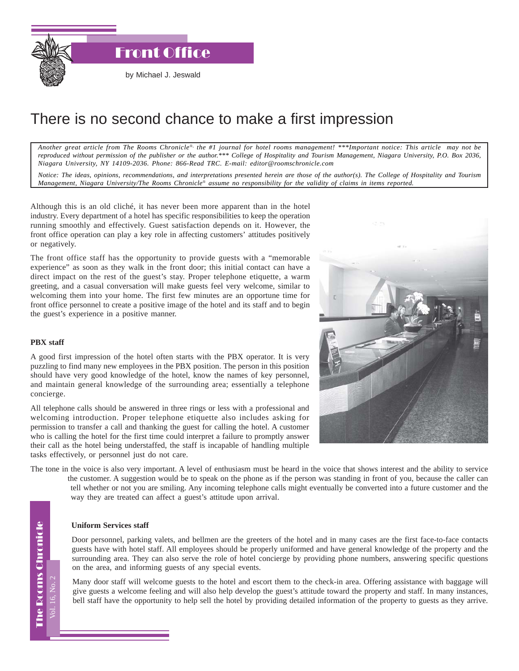Front Office

by Michael J. Jeswald

## There is no second chance to make a first impression

*Another great article from The Rooms Chronicle*®*, the #1 journal for hotel rooms management! \*\*\*Important notice: This article may not be reproduced without permission of the publisher or the author.\*\*\* College of Hospitality and Tourism Management, Niagara University, P.O. Box 2036, Niagara University, NY 14109-2036. Phone: 866-Read TRC. E-mail: editor@roomschronicle.com*

*Notice: The ideas, opinions, recommendations, and interpretations presented herein are those of the author(s). The College of Hospitality and Tourism Management, Niagara University/The Rooms Chronicle*® *assume no responsibility for the validity of claims in items reported.*

Although this is an old cliché, it has never been more apparent than in the hotel industry. Every department of a hotel has specific responsibilities to keep the operation running smoothly and effectively. Guest satisfaction depends on it. However, the front office operation can play a key role in affecting customers' attitudes positively or negatively.

The front office staff has the opportunity to provide guests with a "memorable experience" as soon as they walk in the front door; this initial contact can have a direct impact on the rest of the guest's stay. Proper telephone etiquette, a warm greeting, and a casual conversation will make guests feel very welcome, similar to welcoming them into your home. The first few minutes are an opportune time for front office personnel to create a positive image of the hotel and its staff and to begin the guest's experience in a positive manner.

## **PBX staff**

A good first impression of the hotel often starts with the PBX operator. It is very puzzling to find many new employees in the PBX position. The person in this position should have very good knowledge of the hotel, know the names of key personnel, and maintain general knowledge of the surrounding area; essentially a telephone concierge.

All telephone calls should be answered in three rings or less with a professional and welcoming introduction. Proper telephone etiquette also includes asking for permission to transfer a call and thanking the guest for calling the hotel. A customer who is calling the hotel for the first time could interpret a failure to promptly answer their call as the hotel being understaffed, the staff is incapable of handling multiple tasks effectively, or personnel just do not care.

The tone in the voice is also very important. A level of enthusiasm must be heard in the voice that shows interest and the ability to service the customer. A suggestion would be to speak on the phone as if the person was standing in front of you, because the caller can tell whether or not you are smiling. Any incoming telephone calls might eventually be converted into a future customer and the way they are treated can affect a guest's attitude upon arrival.

## **Uniform Services staff**

Door personnel, parking valets, and bellmen are the greeters of the hotel and in many cases are the first face-to-face contacts guests have with hotel staff. All employees should be properly uniformed and have general knowledge of the property and the surrounding area. They can also serve the role of hotel concierge by providing phone numbers, answering specific questions on the area, and informing guests of any special events.

Many door staff will welcome guests to the hotel and escort them to the check-in area. Offering assistance with baggage will give guests a welcome feeling and will also help develop the guest's attitude toward the property and staff. In many instances, bell staff have the opportunity to help sell the hotel by providing detailed information of the property to guests as they arrive.